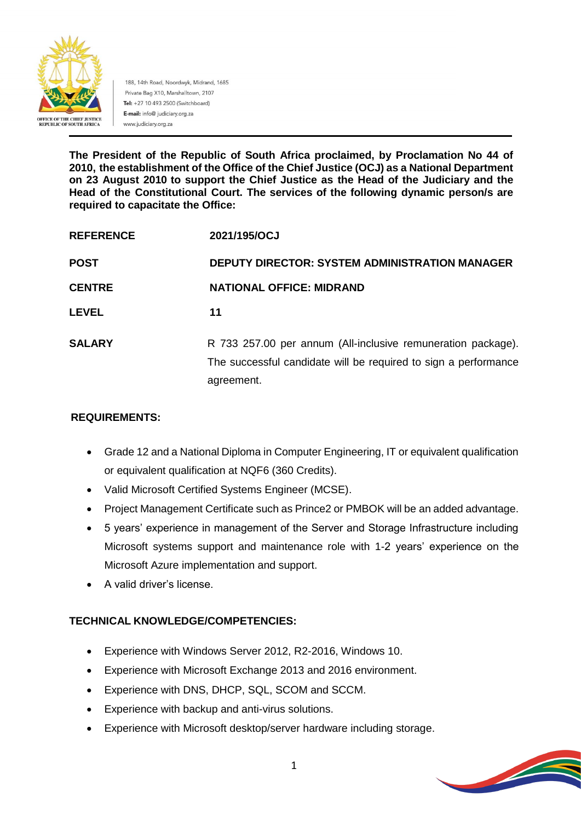

188, 14th Road, Noordwyk, Midrand, 1685 Private Bag X10, Marshalltown, 2107 Tel: +27 10 493 2500 (Switchboard) E-mail: info@ judiciary.org.za www.judiciary.org.za

**The President of the Republic of South Africa proclaimed, by Proclamation No 44 of 2010, the establishment of the Office of the Chief Justice (OCJ) as a National Department on 23 August 2010 to support the Chief Justice as the Head of the Judiciary and the Head of the Constitutional Court. The services of the following dynamic person/s are required to capacitate the Office:**

| <b>REFERENCE</b> | 2021/195/OCJ                                                                                                                                  |
|------------------|-----------------------------------------------------------------------------------------------------------------------------------------------|
| <b>POST</b>      | <b>DEPUTY DIRECTOR: SYSTEM ADMINISTRATION MANAGER</b>                                                                                         |
| <b>CENTRE</b>    | <b>NATIONAL OFFICE: MIDRAND</b>                                                                                                               |
| <b>LEVEL</b>     | 11                                                                                                                                            |
| <b>SALARY</b>    | R 733 257.00 per annum (All-inclusive remuneration package).<br>The successful candidate will be required to sign a performance<br>agreement. |

# **REQUIREMENTS:**

- Grade 12 and a National Diploma in Computer Engineering, IT or equivalent qualification or equivalent qualification at NQF6 (360 Credits).
- Valid Microsoft Certified Systems Engineer (MCSE).
- Project Management Certificate such as Prince2 or PMBOK will be an added advantage.
- 5 years' experience in management of the Server and Storage Infrastructure including Microsoft systems support and maintenance role with 1-2 years' experience on the Microsoft Azure implementation and support.
- A valid driver's license.

# **TECHNICAL KNOWLEDGE/COMPETENCIES:**

- Experience with Windows Server 2012, R2-2016, Windows 10.
- Experience with Microsoft Exchange 2013 and 2016 environment.
- Experience with DNS, DHCP, SQL, SCOM and SCCM.
- Experience with backup and anti-virus solutions.
- Experience with Microsoft desktop/server hardware including storage.

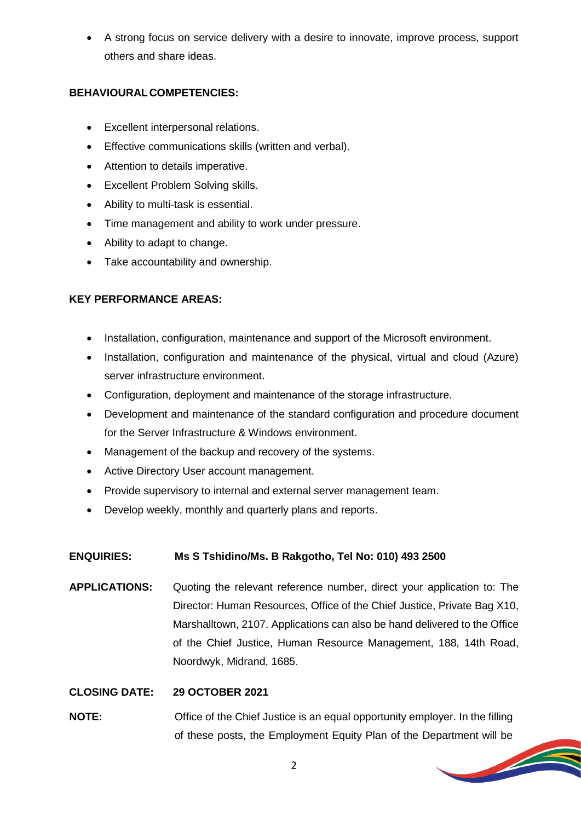A strong focus on service delivery with a desire to innovate, improve process, support others and share ideas.

# **BEHAVIOURALCOMPETENCIES:**

- Excellent interpersonal relations.
- Effective communications skills (written and verbal).
- Attention to details imperative.
- Excellent Problem Solving skills.
- Ability to multi-task is essential.
- Time management and ability to work under pressure.
- Ability to adapt to change.
- Take accountability and ownership.

## **KEY PERFORMANCE AREAS:**

- Installation, configuration, maintenance and support of the Microsoft environment.
- Installation, configuration and maintenance of the physical, virtual and cloud (Azure) server infrastructure environment.
- Configuration, deployment and maintenance of the storage infrastructure.
- Development and maintenance of the standard configuration and procedure document for the Server Infrastructure & Windows environment.
- Management of the backup and recovery of the systems.
- Active Directory User account management.
- Provide supervisory to internal and external server management team.
- Develop weekly, monthly and quarterly plans and reports.

### **ENQUIRIES: Ms S Tshidino/Ms. B Rakgotho, Tel No: 010) 493 2500**

**APPLICATIONS:** Quoting the relevant reference number, direct your application to: The Director: Human Resources, Office of the Chief Justice, Private Bag X10, Marshalltown, 2107. Applications can also be hand delivered to the Office of the Chief Justice, Human Resource Management, 188, 14th Road, Noordwyk, Midrand, 1685.

### **CLOSING DATE: 29 OCTOBER 2021**

**NOTE:** Office of the Chief Justice is an equal opportunity employer. In the filling of these posts, the Employment Equity Plan of the Department will be



**Soldiers**